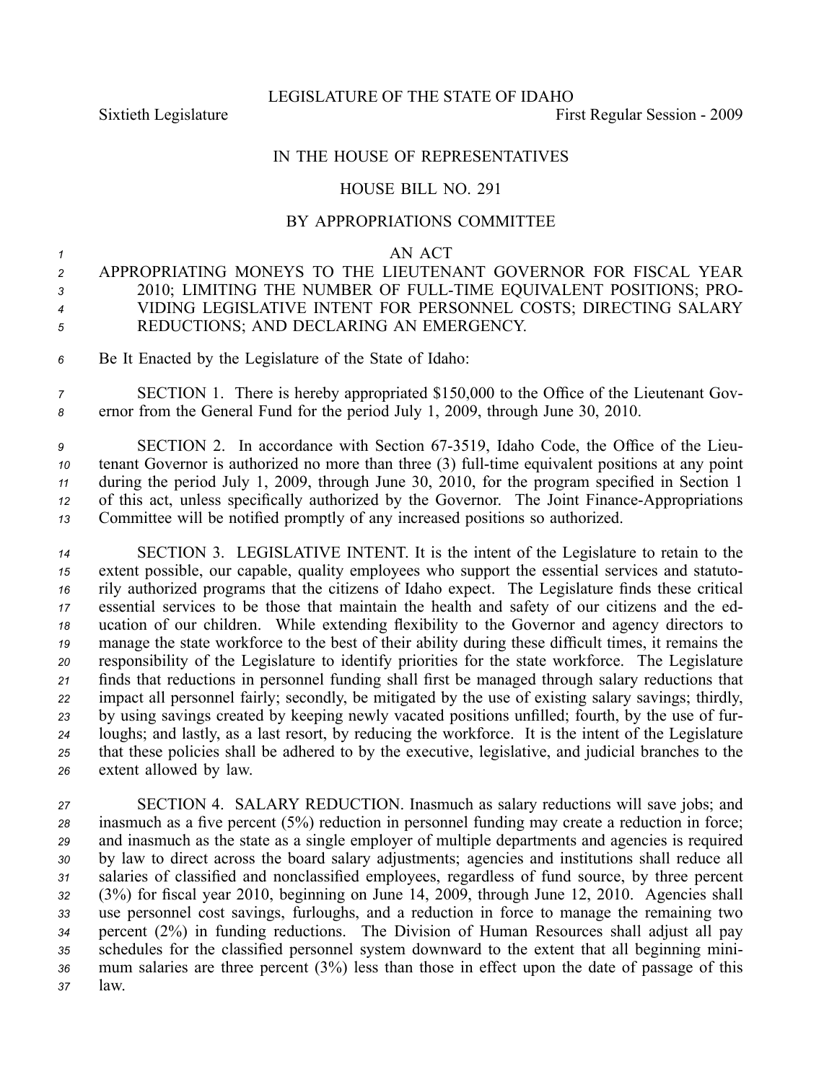## IN THE HOUSE OF REPRESENTATIVES

## HOUSE BILL NO. 291

## BY APPROPRIATIONS COMMITTEE

## *1* AN ACT

- *<sup>2</sup>* APPROPRIATING MONEYS TO THE LIEUTENANT GOVERNOR FOR FISCAL YEAR *<sup>3</sup>* 2010; LIMITING THE NUMBER OF FULLTIME EQUIVALENT POSITIONS; PRO-*<sup>4</sup>* VIDING LEGISLATIVE INTENT FOR PERSONNEL COSTS; DIRECTING SALARY *<sup>5</sup>* REDUCTIONS; AND DECLARING AN EMERGENCY.
- *<sup>6</sup>* Be It Enacted by the Legislature of the State of Idaho:
- *<sup>7</sup>* SECTION 1. There is hereby appropriated \$150,000 to the Office of the Lieutenant Gov-*<sup>8</sup>* ernor from the General Fund for the period July 1, 2009, through June 30, 2010.
- *<sup>9</sup>* SECTION 2. In accordance with Section 673519, Idaho Code, the Office of the Lieu-*10* tenant Governor is authorized no more than three (3) full-time equivalent positions at any point *<sup>11</sup>* during the period July 1, 2009, through June 30, 2010, for the program specified in Section 1 12 of this act, unless specifically authorized by the Governor. The Joint Finance-Appropriations *<sup>13</sup>* Committee will be notified promptly of any increased positions so authorized.
- *<sup>14</sup>* SECTION 3. LEGISLATIVE INTENT. It is the intent of the Legislature to retain to the *<sup>15</sup>* extent possible, our capable, quality employees who suppor<sup>t</sup> the essential services and statuto-*<sup>16</sup>* rily authorized programs that the citizens of Idaho expect. The Legislature finds these critical *<sup>17</sup>* essential services to be those that maintain the health and safety of our citizens and the ed-*<sup>18</sup>* ucation of our children. While extending flexibility to the Governor and agency directors to *<sup>19</sup>* manage the state workforce to the best of their ability during these difficult times, it remains the *<sup>20</sup>* responsibility of the Legislature to identify priorities for the state workforce. The Legislature *<sup>21</sup>* finds that reductions in personnel funding shall first be managed through salary reductions that *<sup>22</sup>* impact all personnel fairly; secondly, be mitigated by the use of existing salary savings; thirdly, *<sup>23</sup>* by using savings created by keeping newly vacated positions unfilled; fourth, by the use of fur-*<sup>24</sup>* loughs; and lastly, as <sup>a</sup> last resort, by reducing the workforce. It is the intent of the Legislature *<sup>25</sup>* that these policies shall be adhered to by the executive, legislative, and judicial branches to the *<sup>26</sup>* extent allowed by law.
- *<sup>27</sup>* SECTION 4. SALARY REDUCTION. Inasmuch as salary reductions will save jobs; and *<sup>28</sup>* inasmuch as <sup>a</sup> five percen<sup>t</sup> (5%) reduction in personnel funding may create <sup>a</sup> reduction in force; *<sup>29</sup>* and inasmuch as the state as <sup>a</sup> single employer of multiple departments and agencies is required *<sup>30</sup>* by law to direct across the board salary adjustments; agencies and institutions shall reduce all *<sup>31</sup>* salaries of classified and nonclassified employees, regardless of fund source, by three percen<sup>t</sup> *<sup>32</sup>* (3%) for fiscal year 2010, beginning on June 14, 2009, through June 12, 2010. Agencies shall *<sup>33</sup>* use personnel cost savings, furloughs, and <sup>a</sup> reduction in force to manage the remaining two *<sup>34</sup>* percen<sup>t</sup> (2%) in funding reductions. The Division of Human Resources shall adjust all pay *<sup>35</sup>* schedules for the classified personnel system downward to the extent that all beginning mini-*<sup>36</sup>* mum salaries are three percen<sup>t</sup> (3%) less than those in effect upon the date of passage of this *<sup>37</sup>* law.